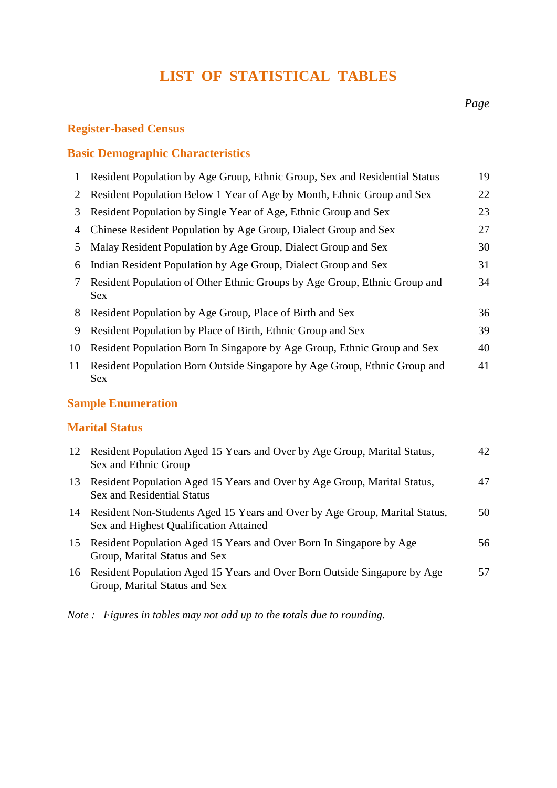## **LIST OF STATISTICAL TABLES**

#### **Register-based Census**

#### **Basic Demographic Characteristics**

|    | Resident Population by Age Group, Ethnic Group, Sex and Residential Status              | 19 |
|----|-----------------------------------------------------------------------------------------|----|
| 2  | Resident Population Below 1 Year of Age by Month, Ethnic Group and Sex                  | 22 |
| 3  | Resident Population by Single Year of Age, Ethnic Group and Sex                         | 23 |
| 4  | Chinese Resident Population by Age Group, Dialect Group and Sex                         | 27 |
| 5  | Malay Resident Population by Age Group, Dialect Group and Sex                           | 30 |
| 6  | Indian Resident Population by Age Group, Dialect Group and Sex                          | 31 |
| 7  | Resident Population of Other Ethnic Groups by Age Group, Ethnic Group and<br><b>Sex</b> | 34 |
| 8  | Resident Population by Age Group, Place of Birth and Sex                                | 36 |
| 9  | Resident Population by Place of Birth, Ethnic Group and Sex                             | 39 |
| 10 | Resident Population Born In Singapore by Age Group, Ethnic Group and Sex                | 40 |
| 11 | Resident Population Born Outside Singapore by Age Group, Ethnic Group and<br>Sex        | 41 |

#### **Sample Enumeration**

#### **Marital Status**

|    | 12 Resident Population Aged 15 Years and Over by Age Group, Marital Status,<br>Sex and Ethnic Group                     | 42 |
|----|-------------------------------------------------------------------------------------------------------------------------|----|
| 13 | Resident Population Aged 15 Years and Over by Age Group, Marital Status,<br><b>Sex and Residential Status</b>           | 47 |
|    | 14 Resident Non-Students Aged 15 Years and Over by Age Group, Marital Status,<br>Sex and Highest Qualification Attained | 50 |
|    | 15 Resident Population Aged 15 Years and Over Born In Singapore by Age<br>Group, Marital Status and Sex                 | 56 |
|    | 16 Resident Population Aged 15 Years and Over Born Outside Singapore by Age<br>Group, Marital Status and Sex            | 57 |

*Note : Figures in tables may not add up to the totals due to rounding.*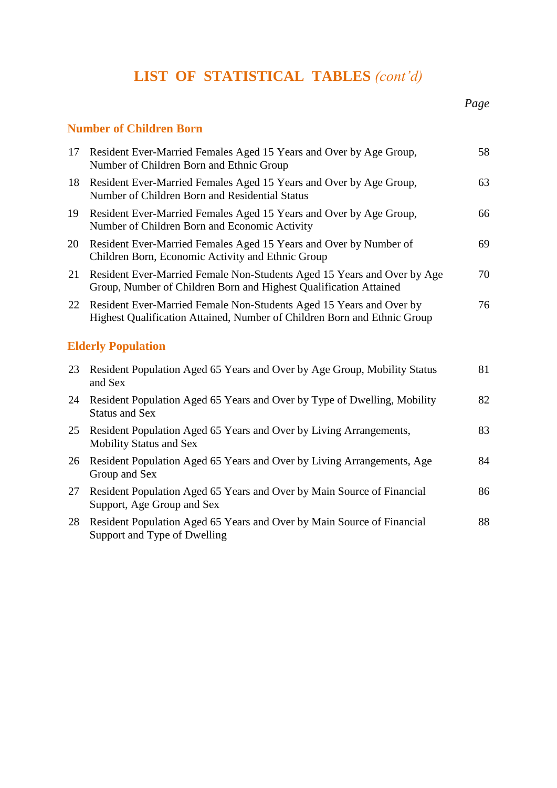# **LIST OF STATISTICAL TABLES** *(cont'd)*

#### **Number of Children Born**

| 17 | Resident Ever-Married Females Aged 15 Years and Over by Age Group,<br>Number of Children Born and Ethnic Group                                  | 58 |
|----|-------------------------------------------------------------------------------------------------------------------------------------------------|----|
| 18 | Resident Ever-Married Females Aged 15 Years and Over by Age Group,<br>Number of Children Born and Residential Status                            | 63 |
| 19 | Resident Ever-Married Females Aged 15 Years and Over by Age Group,<br>Number of Children Born and Economic Activity                             | 66 |
| 20 | Resident Ever-Married Females Aged 15 Years and Over by Number of<br>Children Born, Economic Activity and Ethnic Group                          | 69 |
| 21 | Resident Ever-Married Female Non-Students Aged 15 Years and Over by Age<br>Group, Number of Children Born and Highest Qualification Attained    | 70 |
| 22 | Resident Ever-Married Female Non-Students Aged 15 Years and Over by<br>Highest Qualification Attained, Number of Children Born and Ethnic Group | 76 |
|    | <b>Elderly Population</b>                                                                                                                       |    |
| 23 | Resident Population Aged 65 Years and Over by Age Group, Mobility Status<br>and Sex                                                             | 81 |
| 24 | Resident Population Aged 65 Years and Over by Type of Dwelling, Mobility<br><b>Status and Sex</b>                                               | 82 |
| 25 | Resident Population Aged 65 Years and Over by Living Arrangements,<br><b>Mobility Status and Sex</b>                                            | 83 |
| 26 | Resident Population Aged 65 Years and Over by Living Arrangements, Age<br>Group and Sex                                                         | 84 |
| 27 | Resident Population Aged 65 Years and Over by Main Source of Financial<br>Support, Age Group and Sex                                            | 86 |
| 28 | Resident Population Aged 65 Years and Over by Main Source of Financial<br>Support and Type of Dwelling                                          | 88 |

*Page*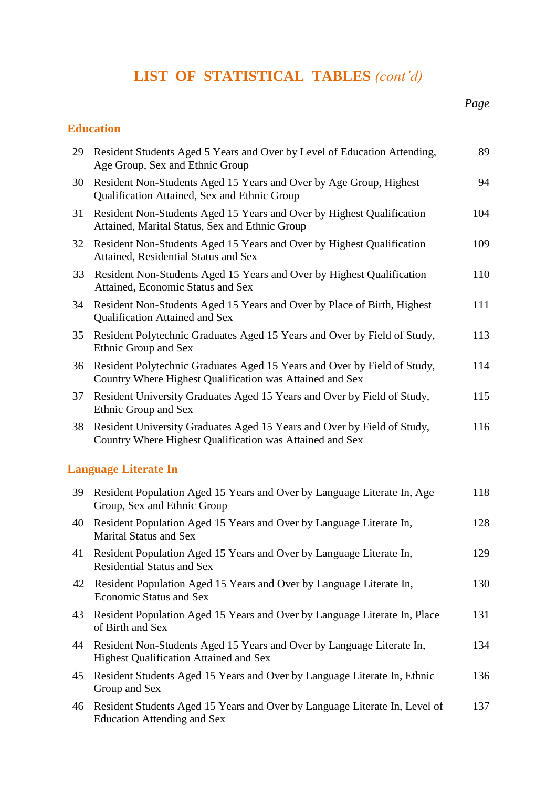# **LIST OF STATISTICAL TABLES** *(cont'd)*

#### **Education**

| 29 | Resident Students Aged 5 Years and Over by Level of Education Attending,<br>Age Group, Sex and Ethnic Group                                                        | 89  |
|----|--------------------------------------------------------------------------------------------------------------------------------------------------------------------|-----|
| 30 | Resident Non-Students Aged 15 Years and Over by Age Group, Highest<br>Qualification Attained, Sex and Ethnic Group                                                 | 94  |
| 31 | Resident Non-Students Aged 15 Years and Over by Highest Qualification<br>Attained, Marital Status, Sex and Ethnic Group                                            | 104 |
| 32 | Resident Non-Students Aged 15 Years and Over by Highest Qualification<br>Attained, Residential Status and Sex                                                      | 109 |
| 33 | Resident Non-Students Aged 15 Years and Over by Highest Qualification<br>Attained, Economic Status and Sex                                                         | 110 |
| 34 | Resident Non-Students Aged 15 Years and Over by Place of Birth, Highest<br>Qualification Attained and Sex                                                          | 111 |
| 35 | Resident Polytechnic Graduates Aged 15 Years and Over by Field of Study,<br>Ethnic Group and Sex                                                                   | 113 |
| 36 | Resident Polytechnic Graduates Aged 15 Years and Over by Field of Study,<br>Country Where Highest Qualification was Attained and Sex                               | 114 |
| 37 | Resident University Graduates Aged 15 Years and Over by Field of Study,<br>Ethnic Group and Sex                                                                    | 115 |
| 38 | Resident University Graduates Aged 15 Years and Over by Field of Study,<br>Country Where Highest Qualification was Attained and Sex                                | 116 |
|    | <b>Language Literate In</b>                                                                                                                                        |     |
|    | 20. $\mathbf{D}_{\text{ref}}(1,\mu,\mathbf{D}_{\text{ref}})$ is a set of $\mathbf{M}_{\text{ref}}$ is a set $\mathbf{D}_{\text{ref}}$ is a set of the set of $\mu$ | 110 |

| 39 | Resident Population Aged 15 Years and Over by Language Literate In, Age<br>Group, Sex and Ethnic Group                 | 118 |
|----|------------------------------------------------------------------------------------------------------------------------|-----|
| 40 | Resident Population Aged 15 Years and Over by Language Literate In,<br><b>Marital Status and Sex</b>                   | 128 |
| 41 | Resident Population Aged 15 Years and Over by Language Literate In,<br><b>Residential Status and Sex</b>               | 129 |
| 42 | Resident Population Aged 15 Years and Over by Language Literate In,<br><b>Economic Status and Sex</b>                  | 130 |
| 43 | Resident Population Aged 15 Years and Over by Language Literate In, Place<br>of Birth and Sex                          | 131 |
| 44 | Resident Non-Students Aged 15 Years and Over by Language Literate In,<br><b>Highest Qualification Attained and Sex</b> | 134 |
| 45 | Resident Students Aged 15 Years and Over by Language Literate In, Ethnic<br>Group and Sex                              | 136 |
| 46 | Resident Students Aged 15 Years and Over by Language Literate In, Level of<br>Education Attending and Sex              | 137 |